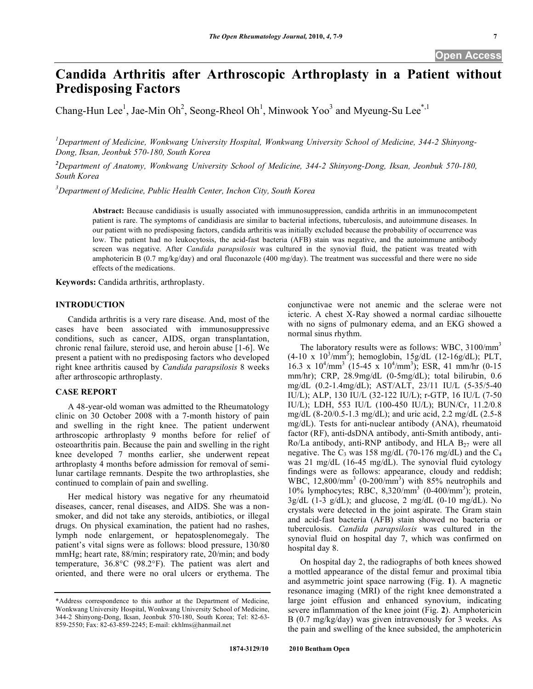# **Candida Arthritis after Arthroscopic Arthroplasty in a Patient without Predisposing Factors**

Chang-Hun Lee<sup>1</sup>, Jae-Min Oh<sup>2</sup>, Seong-Rheol Oh<sup>1</sup>, Minwook Yoo<sup>3</sup> and Myeung-Su Lee<sup>\*,1</sup>

*1 Department of Medicine, Wonkwang University Hospital, Wonkwang University School of Medicine, 344-2 Shinyong-Dong, Iksan, Jeonbuk 570-180, South Korea* 

*2 Department of Anatomy, Wonkwang University School of Medicine, 344-2 Shinyong-Dong, Iksan, Jeonbuk 570-180, South Korea* 

*3 Department of Medicine, Public Health Center, Inchon City, South Korea* 

**Abstract:** Because candidiasis is usually associated with immunosuppression, candida arthritis in an immunocompetent patient is rare. The symptoms of candidiasis are similar to bacterial infections, tuberculosis, and autoimmune diseases. In our patient with no predisposing factors, candida arthritis was initially excluded because the probability of occurrence was low. The patient had no leukocytosis, the acid-fast bacteria (AFB) stain was negative, and the autoimmune antibody screen was negative. After *Candida parapsilosis* was cultured in the synovial fluid, the patient was treated with amphotericin B (0.7 mg/kg/day) and oral fluconazole (400 mg/day). The treatment was successful and there were no side effects of the medications.

**Keywords:** Candida arthritis, arthroplasty.

# **INTRODUCTION**

 Candida arthritis is a very rare disease. And, most of the cases have been associated with immunosuppressive conditions, such as cancer, AIDS, organ transplantation, chronic renal failure, steroid use, and heroin abuse [1-6]. We present a patient with no predisposing factors who developed right knee arthritis caused by *Candida parapsilosis* 8 weeks after arthroscopic arthroplasty.

# **CASE REPORT**

 A 48-year-old woman was admitted to the Rheumatology clinic on 30 October 2008 with a 7-month history of pain and swelling in the right knee. The patient underwent arthroscopic arthroplasty 9 months before for relief of osteoarthritis pain. Because the pain and swelling in the right knee developed 7 months earlier, she underwent repeat arthroplasty 4 months before admission for removal of semilunar cartilage remnants. Despite the two arthroplasties, she continued to complain of pain and swelling.

 Her medical history was negative for any rheumatoid diseases, cancer, renal diseases, and AIDS. She was a nonsmoker, and did not take any steroids, antibiotics, or illegal drugs. On physical examination, the patient had no rashes, lymph node enlargement, or hepatosplenomegaly. The patient's vital signs were as follows: blood pressure, 130/80 mmHg; heart rate, 88/min; respiratory rate, 20/min; and body temperature, 36.8°C (98.2°F). The patient was alert and oriented, and there were no oral ulcers or erythema. The

conjunctivae were not anemic and the sclerae were not icteric. A chest X-Ray showed a normal cardiac silhouette with no signs of pulmonary edema, and an EKG showed a normal sinus rhythm.

The laboratory results were as follows: WBC,  $3100/\text{mm}^3$  $(4\n-10 \text{ x } 10^3/\text{mm}^3)$ ; hemoglobin, 15g/dL  $(12\n-16g/dL)$ ; PLT, 16.3 x  $10^4/\text{mm}^3$  (15-45 x  $10^4/\text{mm}^3$ ); ESR, 41 mm/hr (0-15) mm/hr); CRP, 28.9mg/dL (0-5mg/dL); total bilirubin, 0.6 mg/dL (0.2-1.4mg/dL); AST/ALT, 23/11 IU/L (5-35/5-40 IU/L); ALP, 130 IU/L (32-122 IU/L); r-GTP, 16 IU/L (7-50 IU/L); LDH, 553 IU/L (100-450 IU/L); BUN/Cr, 11.2/0.8 mg/dL (8-20/0.5-1.3 mg/dL); and uric acid, 2.2 mg/dL (2.5-8 mg/dL). Tests for anti-nuclear antibody (ANA), rheumatoid factor (RF), anti-dsDNA antibody, anti-Smith antibody, anti-Ro/La antibody, anti-RNP antibody, and HLA  $B_{27}$  were all negative. The  $C_3$  was 158 mg/dL (70-176 mg/dL) and the  $C_4$ was 21 mg/dL (16-45 mg/dL). The synovial fluid cytology findings were as follows: appearance, cloudy and reddish; WBC,  $12,800/\text{mm}^3$  (0-200/ $\text{mm}^3$ ) with 85% neutrophils and 10% lymphocytes; RBC, 8,320/mm3 (0-400/mm<sup>3</sup> ); protein,  $3g/dL$  (1-3 g/dL); and glucose, 2 mg/dL (0-10 mg/dL). No crystals were detected in the joint aspirate. The Gram stain and acid-fast bacteria (AFB) stain showed no bacteria or tuberculosis. *Candida parapsilosis* was cultured in the synovial fluid on hospital day 7, which was confirmed on hospital day 8.

 On hospital day 2, the radiographs of both knees showed a mottled appearance of the distal femur and proximal tibia and asymmetric joint space narrowing (Fig. **1**). A magnetic resonance imaging (MRI) of the right knee demonstrated a large joint effusion and enhanced synovium, indicating severe inflammation of the knee joint (Fig. **2**). Amphotericin B (0.7 mg/kg/day) was given intravenously for 3 weeks. As the pain and swelling of the knee subsided, the amphotericin

<sup>\*</sup>Address correspondence to this author at the Department of Medicine, Wonkwang University Hospital, Wonkwang University School of Medicine, 344-2 Shinyong-Dong, Iksan, Jeonbuk 570-180, South Korea; Tel: 82-63- 859-2550; Fax: 82-63-859-2245; E-mail: ckhlms@hanmail.net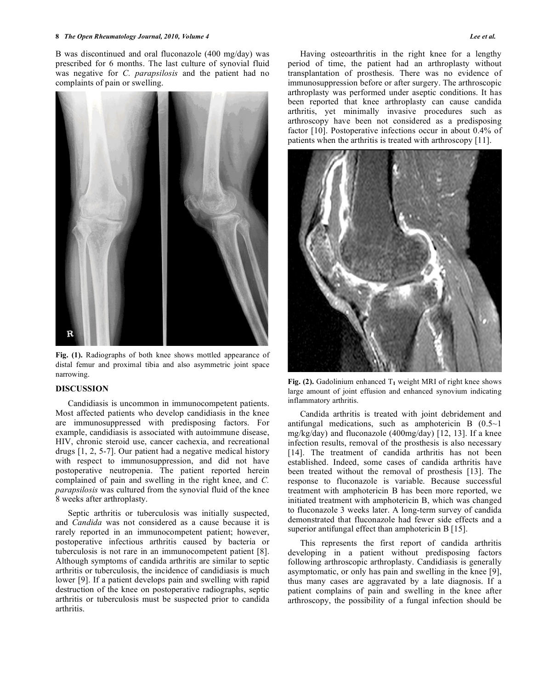### **8** *The Open Rheumatology Journal, 2010, Volume 4 Lee et al.*

B was discontinued and oral fluconazole (400 mg/day) was prescribed for 6 months. The last culture of synovial fluid was negative for *C. parapsilosis* and the patient had no complaints of pain or swelling.



**Fig. (1).** Radiographs of both knee shows mottled appearance of distal femur and proximal tibia and also asymmetric joint space narrowing.

# **DISCUSSION**

 Candidiasis is uncommon in immunocompetent patients. Most affected patients who develop candidiasis in the knee are immunosuppressed with predisposing factors. For example, candidiasis is associated with autoimmune disease, HIV, chronic steroid use, cancer cachexia, and recreational drugs [1, 2, 5-7]. Our patient had a negative medical history with respect to immunosuppression, and did not have postoperative neutropenia. The patient reported herein complained of pain and swelling in the right knee, and *C. parapsilosis* was cultured from the synovial fluid of the knee 8 weeks after arthroplasty.

 Septic arthritis or tuberculosis was initially suspected, and *Candida* was not considered as a cause because it is rarely reported in an immunocompetent patient; however, postoperative infectious arthritis caused by bacteria or tuberculosis is not rare in an immunocompetent patient [8]. Although symptoms of candida arthritis are similar to septic arthritis or tuberculosis, the incidence of candidiasis is much lower [9]. If a patient develops pain and swelling with rapid destruction of the knee on postoperative radiographs, septic arthritis or tuberculosis must be suspected prior to candida arthritis.

 Having osteoarthritis in the right knee for a lengthy period of time, the patient had an arthroplasty without transplantation of prosthesis. There was no evidence of immunosuppression before or after surgery. The arthroscopic arthroplasty was performed under aseptic conditions. It has been reported that knee arthroplasty can cause candida arthritis, yet minimally invasive procedures such as arthroscopy have been not considered as a predisposing factor [10]. Postoperative infections occur in about 0.4% of patients when the arthritis is treated with arthroscopy [11].



Fig. (2). Gadolinium enhanced  $T_1$  weight MRI of right knee shows large amount of joint effusion and enhanced synovium indicating inflammatory arthritis.

 Candida arthritis is treated with joint debridement and antifungal medications, such as amphotericin B (0.5~1 mg/kg/day) and fluconazole (400mg/day) [12, 13]. If a knee infection results, removal of the prosthesis is also necessary [14]. The treatment of candida arthritis has not been established. Indeed, some cases of candida arthritis have been treated without the removal of prosthesis [13]. The response to fluconazole is variable. Because successful treatment with amphotericin B has been more reported, we initiated treatment with amphotericin B, which was changed to fluconazole 3 weeks later. A long-term survey of candida demonstrated that fluconazole had fewer side effects and a superior antifungal effect than amphotericin B [15].

 This represents the first report of candida arthritis developing in a patient without predisposing factors following arthroscopic arthroplasty. Candidiasis is generally asymptomatic, or only has pain and swelling in the knee [9], thus many cases are aggravated by a late diagnosis. If a patient complains of pain and swelling in the knee after arthroscopy, the possibility of a fungal infection should be